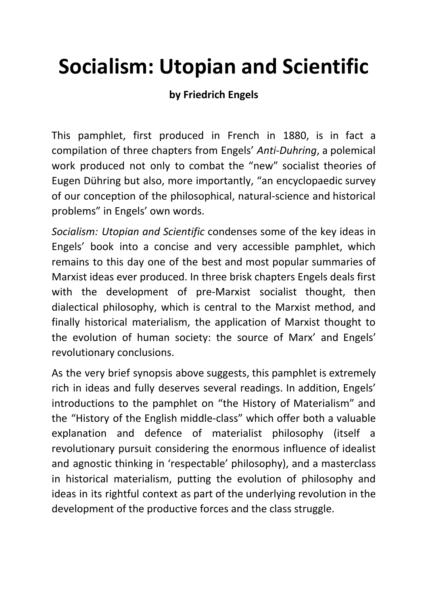### **Socialism: Utopian and Scientific**

#### **by Friedrich Engels**

This pamphlet, first produced in French in 1880, is in fact a compilation of three chapters from Engels' *Anti-Duhring*, a polemical work produced not only to combat the "new" socialist theories of Eugen Dühring but also, more importantly, "an encyclopaedic survey of our conception of the philosophical, natural-science and historical problems" in Engels' own words.

*Socialism: Utopian and Scientific* condenses some of the key ideas in Engels' book into a concise and very accessible pamphlet, which remains to this day one of the best and most popular summaries of Marxist ideas ever produced. In three brisk chapters Engels deals first with the development of pre-Marxist socialist thought, then dialectical philosophy, which is central to the Marxist method, and finally historical materialism, the application of Marxist thought to the evolution of human society: the source of Marx' and Engels' revolutionary conclusions.

As the very brief synopsis above suggests, this pamphlet is extremely rich in ideas and fully deserves several readings. In addition, Engels' introductions to the pamphlet on "the History of Materialism" and the "History of the English middle-class" which offer both a valuable explanation and defence of materialist philosophy (itself a revolutionary pursuit considering the enormous influence of idealist and agnostic thinking in 'respectable' philosophy), and a masterclass in historical materialism, putting the evolution of philosophy and ideas in its rightful context as part of the underlying revolution in the development of the productive forces and the class struggle.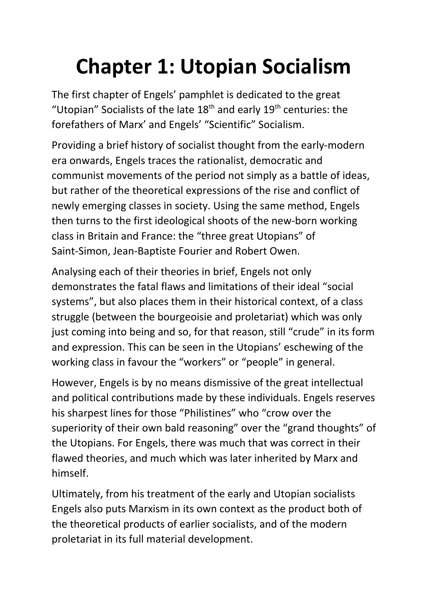## **Chapter 1: Utopian Socialism**

The first chapter of Engels' pamphlet is dedicated to the great "Utopian" Socialists of the late  $18<sup>th</sup>$  and early  $19<sup>th</sup>$  centuries: the forefathers of Marx' and Engels' "Scientific" Socialism.

Providing a brief history of socialist thought from the early-modern era onwards, Engels traces the rationalist, democratic and communist movements of the period not simply as a battle of ideas, but rather of the theoretical expressions of the rise and conflict of newly emerging classes in society. Using the same method, Engels then turns to the first ideological shoots of the new-born working class in Britain and France: the "three great Utopians" of Saint-Simon, Jean-Baptiste Fourier and Robert Owen.

Analysing each of their theories in brief, Engels not only demonstrates the fatal flaws and limitations of their ideal "social systems", but also places them in their historical context, of a class struggle (between the bourgeoisie and proletariat) which was only just coming into being and so, for that reason, still "crude" in its form and expression. This can be seen in the Utopians' eschewing of the working class in favour the "workers" or "people" in general.

However, Engels is by no means dismissive of the great intellectual and political contributions made by these individuals. Engels reserves his sharpest lines for those "Philistines" who "crow over the superiority of their own bald reasoning" over the "grand thoughts" of the Utopians. For Engels, there was much that was correct in their flawed theories, and much which was later inherited by Marx and himself.

Ultimately, from his treatment of the early and Utopian socialists Engels also puts Marxism in its own context as the product both of the theoretical products of earlier socialists, and of the modern proletariat in its full material development.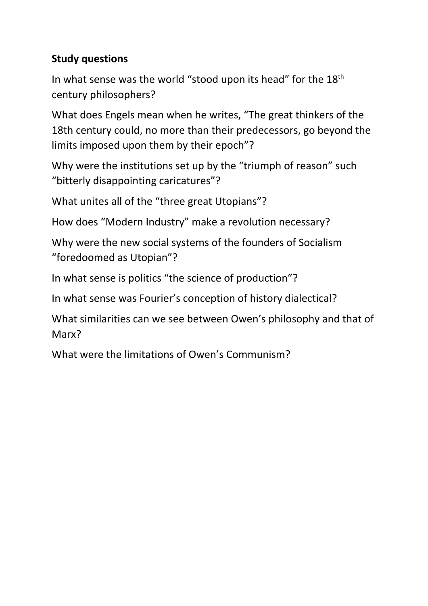#### **Study questions**

In what sense was the world "stood upon its head" for the  $18<sup>th</sup>$ century philosophers?

What does Engels mean when he writes, "The great thinkers of the 18th century could, no more than their predecessors, go beyond the limits imposed upon them by their epoch"?

Why were the institutions set up by the "triumph of reason" such "bitterly disappointing caricatures"?

What unites all of the "three great Utopians"?

How does "Modern Industry" make a revolution necessary?

Why were the new social systems of the founders of Socialism "foredoomed as Utopian"?

In what sense is politics "the science of production"?

In what sense was Fourier's conception of history dialectical?

What similarities can we see between Owen's philosophy and that of Marx?

What were the limitations of Owen's Communism?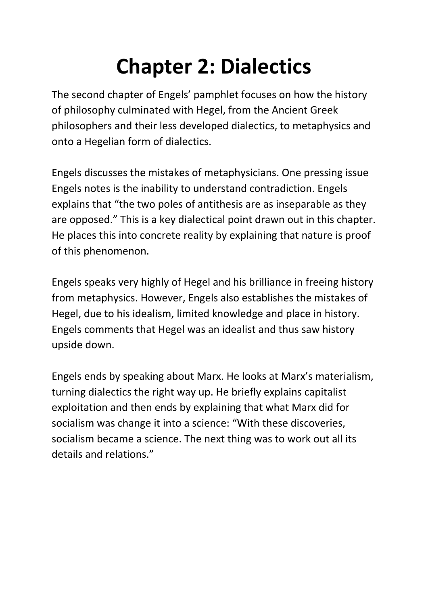## **Chapter 2: Dialectics**

The second chapter of Engels' pamphlet focuses on how the history of philosophy culminated with Hegel, from the Ancient Greek philosophers and their less developed dialectics, to metaphysics and onto a Hegelian form of dialectics.

Engels discusses the mistakes of metaphysicians. One pressing issue Engels notes is the inability to understand contradiction. Engels explains that "the two poles of antithesis are as inseparable as they are opposed." This is a key dialectical point drawn out in this chapter. He places this into concrete reality by explaining that nature is proof of this phenomenon.

Engels speaks very highly of Hegel and his brilliance in freeing history from metaphysics. However, Engels also establishes the mistakes of Hegel, due to his idealism, limited knowledge and place in history. Engels comments that Hegel was an idealist and thus saw history upside down.

Engels ends by speaking about Marx. He looks at Marx's materialism, turning dialectics the right way up. He briefly explains capitalist exploitation and then ends by explaining that what Marx did for socialism was change it into a science: "With these discoveries, socialism became a science. The next thing was to work out all its details and relations."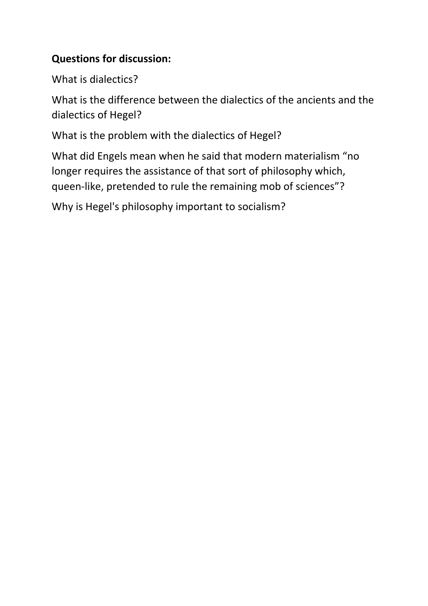#### **Questions for discussion:**

What is dialectics?

What is the difference between the dialectics of the ancients and the dialectics of Hegel?

What is the problem with the dialectics of Hegel?

What did Engels mean when he said that modern materialism "no longer requires the assistance of that sort of philosophy which, queen-like, pretended to rule the remaining mob of sciences"?

Why is Hegel's philosophy important to socialism?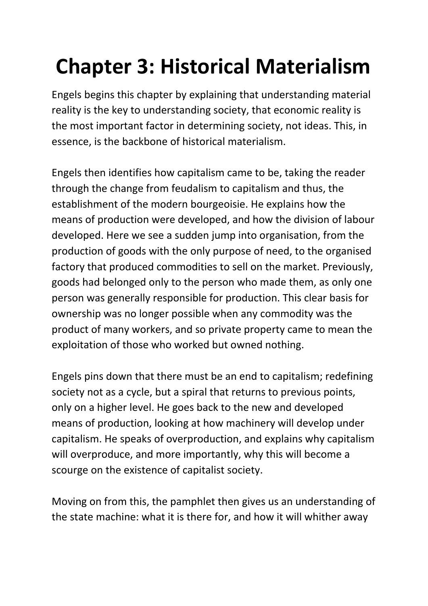# **Chapter 3: Historical Materialism**

Engels begins this chapter by explaining that understanding material reality is the key to understanding society, that economic reality is the most important factor in determining society, not ideas. This, in essence, is the backbone of historical materialism.

Engels then identifies how capitalism came to be, taking the reader through the change from feudalism to capitalism and thus, the establishment of the modern bourgeoisie. He explains how the means of production were developed, and how the division of labour developed. Here we see a sudden jump into organisation, from the production of goods with the only purpose of need, to the organised factory that produced commodities to sell on the market. Previously, goods had belonged only to the person who made them, as only one person was generally responsible for production. This clear basis for ownership was no longer possible when any commodity was the product of many workers, and so private property came to mean the exploitation of those who worked but owned nothing.

Engels pins down that there must be an end to capitalism; redefining society not as a cycle, but a spiral that returns to previous points, only on a higher level. He goes back to the new and developed means of production, looking at how machinery will develop under capitalism. He speaks of overproduction, and explains why capitalism will overproduce, and more importantly, why this will become a scourge on the existence of capitalist society.

Moving on from this, the pamphlet then gives us an understanding of the state machine: what it is there for, and how it will whither away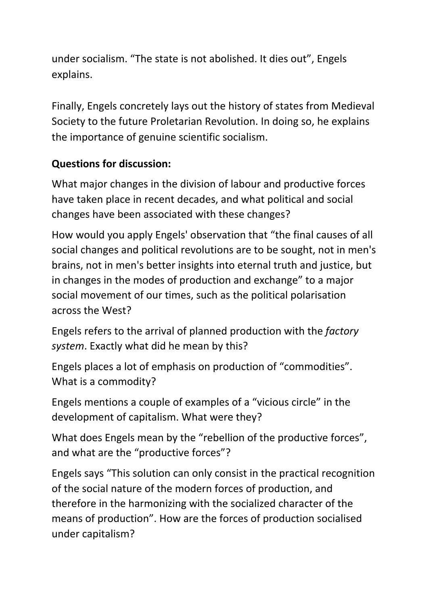under socialism. "The state is not abolished. It dies out", Engels explains.

Finally, Engels concretely lays out the history of states from Medieval Society to the future Proletarian Revolution. In doing so, he explains the importance of genuine scientific socialism.

### **Questions for discussion:**

What major changes in the division of labour and productive forces have taken place in recent decades, and what political and social changes have been associated with these changes?

How would you apply Engels' observation that "the final causes of all social changes and political revolutions are to be sought, not in men's brains, not in men's better insights into eternal truth and justice, but in changes in the modes of production and exchange" to a major social movement of our times, such as the political polarisation across the West?

Engels refers to the arrival of planned production with the *factory system*. Exactly what did he mean by this?

Engels places a lot of emphasis on production of "commodities". What is a commodity?

Engels mentions a couple of examples of a "vicious circle" in the development of capitalism. What were they?

What does Engels mean by the "rebellion of the productive forces", and what are the "productive forces"?

Engels says "This solution can only consist in the practical recognition of the social nature of the modern forces of production, and therefore in the harmonizing with the socialized character of the means of production". How are the forces of production socialised under capitalism?